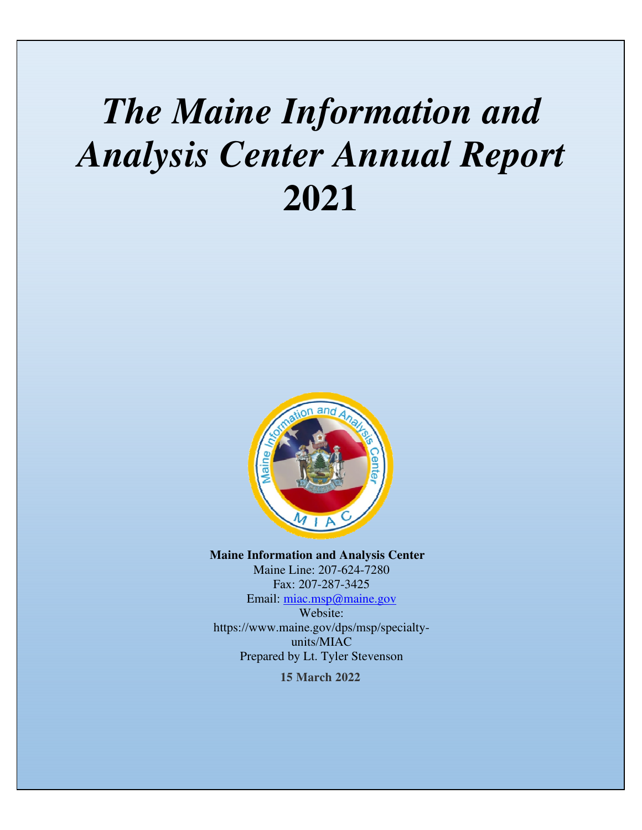## *The Maine Information and Analysis Center Annual Report*  **2021**



**Maine Information and Analysis Center**  Maine Line: 207-624-7280 Fax: 207-287-3425 Email: miac.msp@maine.gov Website: https://www.maine.gov/dps/msp/specialtyunits/MIAC Prepared by Lt. Tyler Stevenson

**15 March 2022**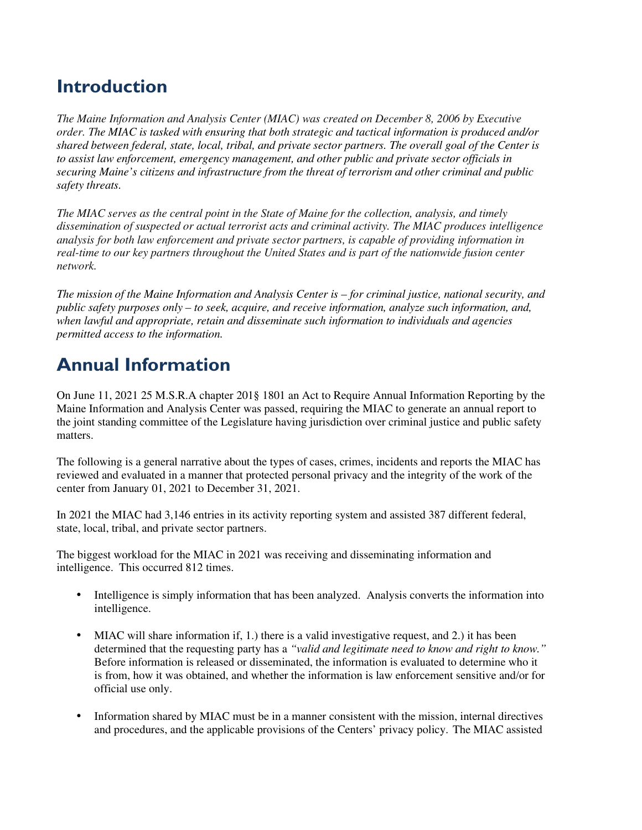## **Introduction**

*The Maine Information and Analysis Center (MIAC) was created on December 8, 2006 by Executive order. The MIAC is tasked with ensuring that both strategic and tactical information is produced and/or shared between federal, state, local, tribal, and private sector partners. The overall goal of the Center is to assist law enforcement, emergency management, and other public and private sector officials in securing Maine's citizens and infrastructure from the threat of terrorism and other criminal and public safety threats.* 

*The MIAC serves as the central point in the State of Maine for the collection, analysis, and timely dissemination of suspected or actual terrorist acts and criminal activity. The MIAC produces intelligence analysis for both law enforcement and private sector partners, is capable of providing information in real-time to our key partners throughout the United States and is part of the nationwide fusion center network.*

*The mission of the Maine Information and Analysis Center is – for criminal justice, national security, and public safety purposes only – to seek, acquire, and receive information, analyze such information, and, when lawful and appropriate, retain and disseminate such information to individuals and agencies permitted access to the information.* 

## **Annual Information**

On June 11, 2021 25 M.S.R.A chapter 201§ 1801 an Act to Require Annual Information Reporting by the Maine Information and Analysis Center was passed, requiring the MIAC to generate an annual report to the joint standing committee of the Legislature having jurisdiction over criminal justice and public safety matters.

The following is a general narrative about the types of cases, crimes, incidents and reports the MIAC has reviewed and evaluated in a manner that protected personal privacy and the integrity of the work of the center from January 01, 2021 to December 31, 2021.

In 2021 the MIAC had 3,146 entries in its activity reporting system and assisted 387 different federal, state, local, tribal, and private sector partners.

The biggest workload for the MIAC in 2021 was receiving and disseminating information and intelligence. This occurred 812 times.

- Intelligence is simply information that has been analyzed. Analysis converts the information into intelligence.
- MIAC will share information if, 1.) there is a valid investigative request, and 2.) it has been determined that the requesting party has a *"valid and legitimate need to know and right to know."* Before information is released or disseminated, the information is evaluated to determine who it is from, how it was obtained, and whether the information is law enforcement sensitive and/or for official use only.
- Information shared by MIAC must be in a manner consistent with the mission, internal directives and procedures, and the applicable provisions of the Centers' privacy policy. The MIAC assisted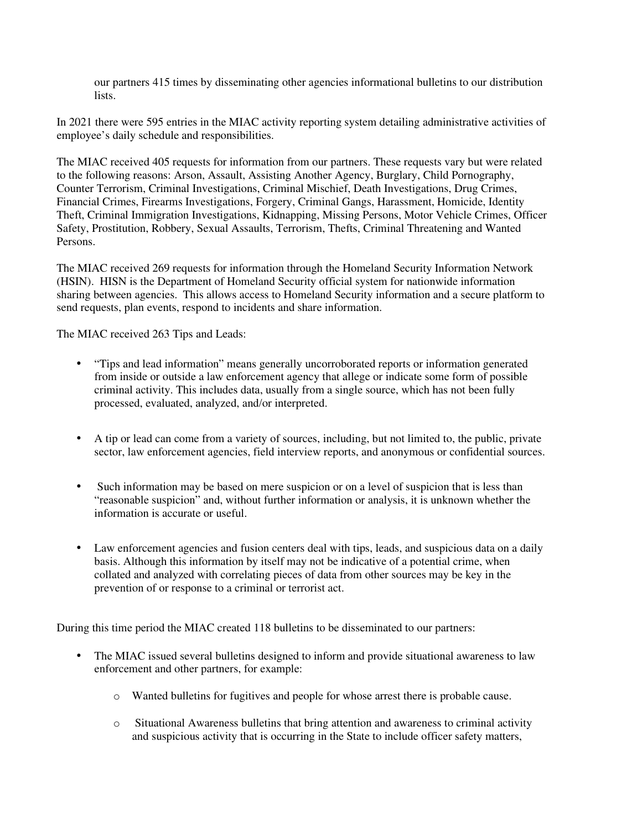our partners 415 times by disseminating other agencies informational bulletins to our distribution lists.

In 2021 there were 595 entries in the MIAC activity reporting system detailing administrative activities of employee's daily schedule and responsibilities.

The MIAC received 405 requests for information from our partners. These requests vary but were related to the following reasons: Arson, Assault, Assisting Another Agency, Burglary, Child Pornography, Counter Terrorism, Criminal Investigations, Criminal Mischief, Death Investigations, Drug Crimes, Financial Crimes, Firearms Investigations, Forgery, Criminal Gangs, Harassment, Homicide, Identity Theft, Criminal Immigration Investigations, Kidnapping, Missing Persons, Motor Vehicle Crimes, Officer Safety, Prostitution, Robbery, Sexual Assaults, Terrorism, Thefts, Criminal Threatening and Wanted Persons.

The MIAC received 269 requests for information through the Homeland Security Information Network (HSIN). HISN is the Department of Homeland Security official system for nationwide information sharing between agencies. This allows access to Homeland Security information and a secure platform to send requests, plan events, respond to incidents and share information.

The MIAC received 263 Tips and Leads:

- "Tips and lead information" means generally uncorroborated reports or information generated from inside or outside a law enforcement agency that allege or indicate some form of possible criminal activity. This includes data, usually from a single source, which has not been fully processed, evaluated, analyzed, and/or interpreted.
- A tip or lead can come from a variety of sources, including, but not limited to, the public, private sector, law enforcement agencies, field interview reports, and anonymous or confidential sources.
- Such information may be based on mere suspicion or on a level of suspicion that is less than "reasonable suspicion" and, without further information or analysis, it is unknown whether the information is accurate or useful.
- Law enforcement agencies and fusion centers deal with tips, leads, and suspicious data on a daily basis. Although this information by itself may not be indicative of a potential crime, when collated and analyzed with correlating pieces of data from other sources may be key in the prevention of or response to a criminal or terrorist act.

During this time period the MIAC created 118 bulletins to be disseminated to our partners:

- The MIAC issued several bulletins designed to inform and provide situational awareness to law enforcement and other partners, for example:
	- o Wanted bulletins for fugitives and people for whose arrest there is probable cause.
	- o Situational Awareness bulletins that bring attention and awareness to criminal activity and suspicious activity that is occurring in the State to include officer safety matters,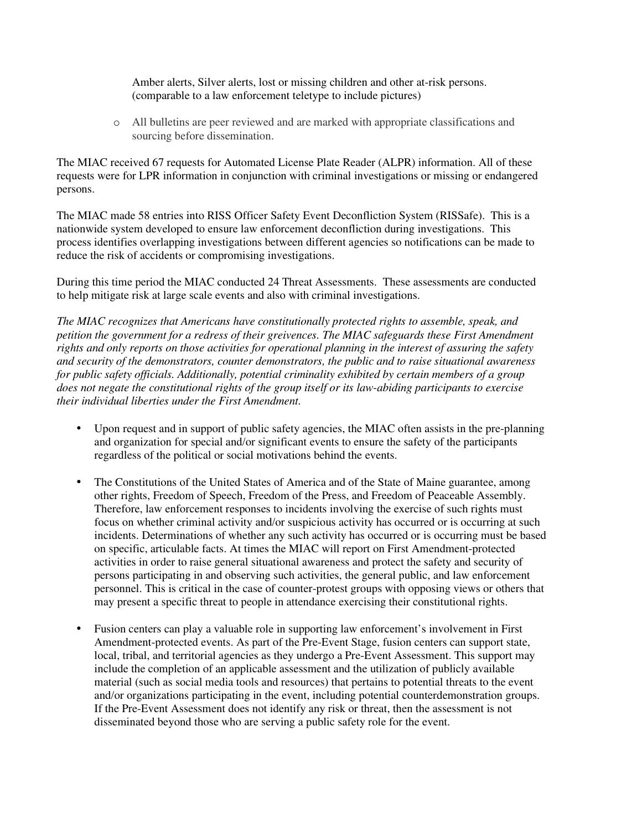Amber alerts, Silver alerts, lost or missing children and other at-risk persons. (comparable to a law enforcement teletype to include pictures)

o All bulletins are peer reviewed and are marked with appropriate classifications and sourcing before dissemination.

The MIAC received 67 requests for Automated License Plate Reader (ALPR) information. All of these requests were for LPR information in conjunction with criminal investigations or missing or endangered persons.

The MIAC made 58 entries into RISS Officer Safety Event Deconfliction System (RISSafe). This is a nationwide system developed to ensure law enforcement deconfliction during investigations. This process identifies overlapping investigations between different agencies so notifications can be made to reduce the risk of accidents or compromising investigations.

During this time period the MIAC conducted 24 Threat Assessments. These assessments are conducted to help mitigate risk at large scale events and also with criminal investigations.

*The MIAC recognizes that Americans have constitutionally protected rights to assemble, speak, and petition the government for a redress of their greivences. The MIAC safeguards these First Amendment rights and only reports on those activities for operational planning in the interest of assuring the safety and security of the demonstrators, counter demonstrators, the public and to raise situational awareness for public safety officials. Additionally, potential criminality exhibited by certain members of a group does not negate the constitutional rights of the group itself or its law-abiding participants to exercise their individual liberties under the First Amendment.* 

- Upon request and in support of public safety agencies, the MIAC often assists in the pre-planning and organization for special and/or significant events to ensure the safety of the participants regardless of the political or social motivations behind the events.
- The Constitutions of the United States of America and of the State of Maine guarantee, among other rights, Freedom of Speech, Freedom of the Press, and Freedom of Peaceable Assembly. Therefore, law enforcement responses to incidents involving the exercise of such rights must focus on whether criminal activity and/or suspicious activity has occurred or is occurring at such incidents. Determinations of whether any such activity has occurred or is occurring must be based on specific, articulable facts. At times the MIAC will report on First Amendment-protected activities in order to raise general situational awareness and protect the safety and security of persons participating in and observing such activities, the general public, and law enforcement personnel. This is critical in the case of counter-protest groups with opposing views or others that may present a specific threat to people in attendance exercising their constitutional rights.
- Fusion centers can play a valuable role in supporting law enforcement's involvement in First Amendment-protected events. As part of the Pre-Event Stage, fusion centers can support state, local, tribal, and territorial agencies as they undergo a Pre-Event Assessment. This support may include the completion of an applicable assessment and the utilization of publicly available material (such as social media tools and resources) that pertains to potential threats to the event and/or organizations participating in the event, including potential counterdemonstration groups. If the Pre-Event Assessment does not identify any risk or threat, then the assessment is not disseminated beyond those who are serving a public safety role for the event.